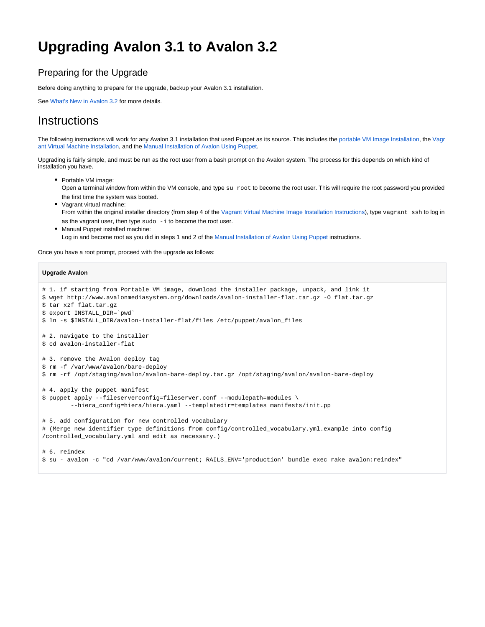## **Upgrading Avalon 3.1 to Avalon 3.2**

## Preparing for the Upgrade

Before doing anything to prepare for the upgrade, backup your Avalon 3.1 installation.

See [What's New in Avalon 3.2](https://wiki.dlib.indiana.edu/pages/viewpage.action?pageId=519111756) for more details.

## **Instructions**

The following instructions will work for any Avalon 3.1 installation that used Puppet as its source. This includes the [portable VM Image Installation,](https://wiki.dlib.indiana.edu/pages/viewpage.action?pageId=515277053) the [Vagr](https://wiki.dlib.indiana.edu/pages/viewpage.action?pageId=515278422) [ant Virtual Machine Installation](https://wiki.dlib.indiana.edu/pages/viewpage.action?pageId=515278422), and the [Manual Installation of Avalon Using Puppet](https://wiki.dlib.indiana.edu/display/VarVideo/Manual+Installation+of+Avalon+Using+Puppet).

Upgrading is fairly simple, and must be run as the root user from a bash prompt on the Avalon system. The process for this depends on which kind of installation you have.

- Portable VM image: Open a terminal window from within the VM console, and type su root to become the root user. This will require the root password you provided the first time the system was booted. • Vagrant virtual machine:
- From within the original installer directory (from step 4 of the [Vagrant Virtual Machine Image Installation Instructions\)](https://wiki.dlib.indiana.edu/pages/viewpage.action?pageId=515278422), type vagrant ssh to log in as the vagrant user, then type sudo -i to become the root user.
- Manual Puppet installed machine: Log in and become root as you did in steps 1 and 2 of the [Manual Installation of Avalon Using Puppet](https://wiki.dlib.indiana.edu/display/VarVideo/Manual+Installation+of+Avalon+Using+Puppet) instructions.

Once you have a root prompt, proceed with the upgrade as follows:

## **Upgrade Avalon**

```
# 1. if starting from Portable VM image, download the installer package, unpack, and link it
$ wget http://www.avalonmediasystem.org/downloads/avalon-installer-flat.tar.gz -O flat.tar.gz 
$ tar xzf flat.tar.gz
$ export INSTALL_DIR=`pwd`
$ ln -s $INSTALL_DIR/avalon-installer-flat/files /etc/puppet/avalon_files
# 2. navigate to the installer
$ cd avalon-installer-flat
# 3. remove the Avalon deploy tag
$ rm -f /var/www/avalon/bare-deploy
$ rm -rf /opt/staging/avalon/avalon-bare-deploy.tar.gz /opt/staging/avalon/avalon-bare-deploy
# 4. apply the puppet manifest
$ puppet apply --fileserverconfig=fileserver.conf --modulepath=modules \
         --hiera_config=hiera/hiera.yaml --templatedir=templates manifests/init.pp
# 5. add configuration for new controlled vocabulary 
# (Merge new identifier type definitions from config/controlled_vocabulary.yml.example into config
/controlled_vocabulary.yml and edit as necessary.)
# 6. reindex
$ su - avalon -c "cd /var/www/avalon/current; RAILS_ENV='production' bundle exec rake avalon:reindex"
```